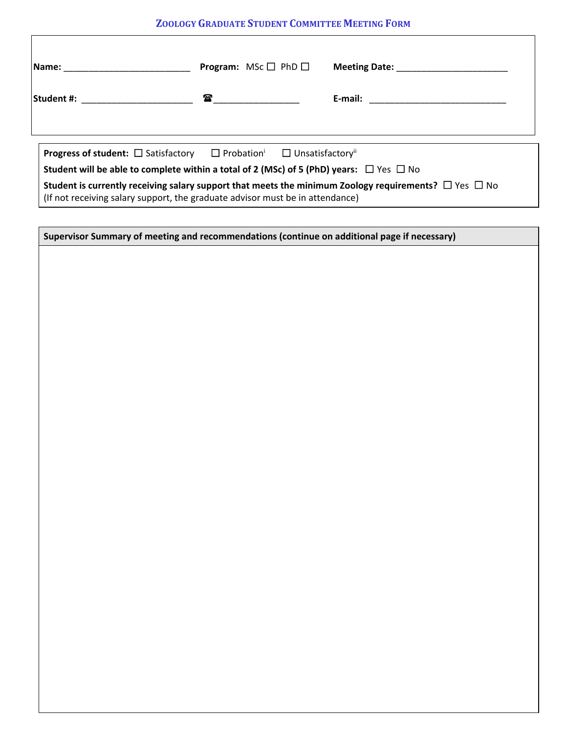## **ZOOLOGY GRADUATE STUDENT COMMITTEE MEETING FORM**

| Name: _____________________                                                                                                                                                                                            | <b>Program:</b> MSc $\Box$ PhD $\Box$                                                                 | Meeting Date: Name and Solid Property and Solid Property and Solid Property and Solid Property and Solid Property and Solid Property and Solid Property and Solid Property and Solid Property and Solid Property and Solid Pro |  |  |  |  |  |
|------------------------------------------------------------------------------------------------------------------------------------------------------------------------------------------------------------------------|-------------------------------------------------------------------------------------------------------|--------------------------------------------------------------------------------------------------------------------------------------------------------------------------------------------------------------------------------|--|--|--|--|--|
|                                                                                                                                                                                                                        | $\begin{array}{ c c c }\hline \textbf{r} & \textbf{r} & \textbf{r} & \textbf{r} \\\hline \end{array}$ |                                                                                                                                                                                                                                |  |  |  |  |  |
|                                                                                                                                                                                                                        |                                                                                                       |                                                                                                                                                                                                                                |  |  |  |  |  |
| <b>Progress of student:</b> $\Box$ Satisfactory $\Box$ Probation <sup>i</sup> $\Box$ Unsatisfactory <sup>ii</sup><br>Student will be able to complete within a total of 2 (MSc) of 5 (PhD) years: $\Box$ Yes $\Box$ No |                                                                                                       |                                                                                                                                                                                                                                |  |  |  |  |  |
| Student is currently receiving salary support that meets the minimum Zoology requirements? $\Box$ Yes $\Box$ No<br>(If not receiving salary support, the graduate advisor must be in attendance)                       |                                                                                                       |                                                                                                                                                                                                                                |  |  |  |  |  |

| Supervisor Summary of meeting and recommendations (continue on additional page if necessary) |  |
|----------------------------------------------------------------------------------------------|--|
|                                                                                              |  |